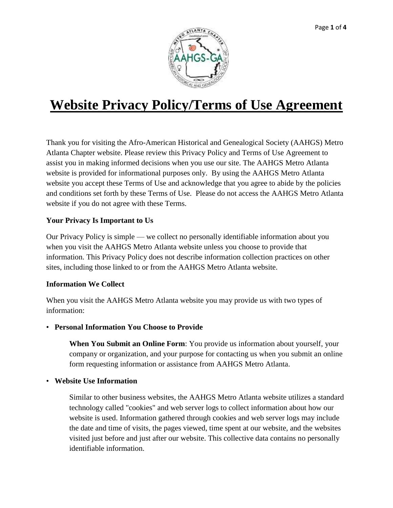

# **Website Privacy Policy/Terms of Use Agreement**

Thank you for visiting the Afro-American Historical and Genealogical Society (AAHGS) Metro Atlanta Chapter website. Please review this Privacy Policy and Terms of Use Agreement to assist you in making informed decisions when you use our site. The AAHGS Metro Atlanta website is provided for informational purposes only. By using the AAHGS Metro Atlanta website you accept these Terms of Use and acknowledge that you agree to abide by the policies and conditions set forth by these Terms of Use. Please do not access the AAHGS Metro Atlanta website if you do not agree with these Terms.

# **Your Privacy Is Important to Us**

Our Privacy Policy is simple — we collect no personally identifiable information about you when you visit the AAHGS Metro Atlanta website unless you choose to provide that information. This Privacy Policy does not describe information collection practices on other sites, including those linked to or from the AAHGS Metro Atlanta website.

# **Information We Collect**

When you visit the AAHGS Metro Atlanta website you may provide us with two types of information:

• **Personal Information You Choose to Provide**

**When You Submit an Online Form**: You provide us information about yourself, your company or organization, and your purpose for contacting us when you submit an online form requesting information or assistance from AAHGS Metro Atlanta.

• **Website Use Information**

Similar to other business websites, the AAHGS Metro Atlanta website utilizes a standard technology called "cookies" and web server logs to collect information about how our website is used. Information gathered through cookies and web server logs may include the date and time of visits, the pages viewed, time spent at our website, and the websites visited just before and just after our website. This collective data contains no personally identifiable information.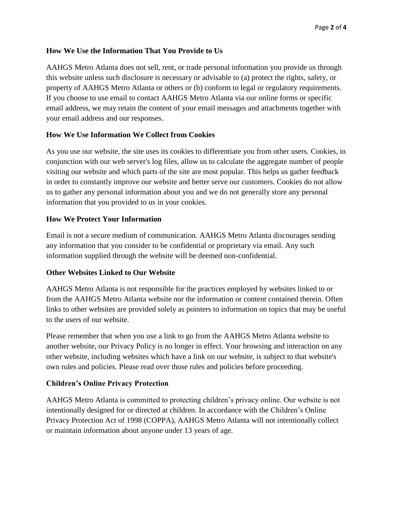# **How We Use the Information That You Provide to Us**

AAHGS Metro Atlanta does not sell, rent, or trade personal information you provide us through this website unless such disclosure is necessary or advisable to (a) protect the rights, safety, or property of AAHGS Metro Atlanta or others or (b) conform to legal or regulatory requirements. If you choose to use email to contact AAHGS Metro Atlanta via our online forms or specific email address, we may retain the content of your email messages and attachments together with your email address and our responses.

## **How We Use Information We Collect from Cookies**

As you use our website, the site uses its cookies to differentiate you from other users. Cookies, in conjunction with our web server's log files, allow us to calculate the aggregate number of people visiting our website and which parts of the site are most popular. This helps us gather feedback in order to constantly improve our website and better serve our customers. Cookies do not allow us to gather any personal information about you and we do not generally store any personal information that you provided to us in your cookies.

## **How We Protect Your Information**

Email is not a secure medium of communication. AAHGS Metro Atlanta discourages sending any information that you consider to be confidential or proprietary via email. Any such information supplied through the website will be deemed non-confidential.

#### **Other Websites Linked to Our Website**

AAHGS Metro Atlanta is not responsible for the practices employed by websites linked to or from the AAHGS Metro Atlanta website nor the information or content contained therein. Often links to other websites are provided solely as pointers to information on topics that may be useful to the users of our website.

Please remember that when you use a link to go from the AAHGS Metro Atlanta website to another website, our Privacy Policy is no longer in effect. Your browsing and interaction on any other website, including websites which have a link on our website, is subject to that website's own rules and policies. Please read over those rules and policies before proceeding.

#### **Children's Online Privacy Protection**

AAHGS Metro Atlanta is committed to protecting children's privacy online. Our website is not intentionally designed for or directed at children. In accordance with the Children's Online Privacy Protection Act of 1998 (COPPA), AAHGS Metro Atlanta will not intentionally collect or maintain information about anyone under 13 years of age.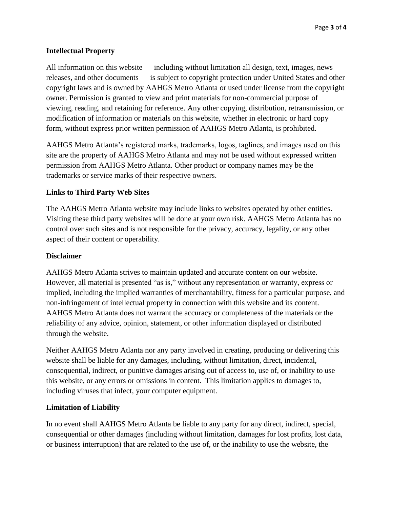# **Intellectual Property**

All information on this website — including without limitation all design, text, images, news releases, and other documents — is subject to copyright protection under United States and other copyright laws and is owned by AAHGS Metro Atlanta or used under license from the copyright owner. Permission is granted to view and print materials for non-commercial purpose of viewing, reading, and retaining for reference. Any other copying, distribution, retransmission, or modification of information or materials on this website, whether in electronic or hard copy form, without express prior written permission of AAHGS Metro Atlanta, is prohibited.

AAHGS Metro Atlanta's registered marks, trademarks, logos, taglines, and images used on this site are the property of AAHGS Metro Atlanta and may not be used without expressed written permission from AAHGS Metro Atlanta. Other product or company names may be the trademarks or service marks of their respective owners.

## **Links to Third Party Web Sites**

The AAHGS Metro Atlanta website may include links to websites operated by other entities. Visiting these third party websites will be done at your own risk. AAHGS Metro Atlanta has no control over such sites and is not responsible for the privacy, accuracy, legality, or any other aspect of their content or operability.

#### **Disclaimer**

AAHGS Metro Atlanta strives to maintain updated and accurate content on our website. However, all material is presented "as is," without any representation or warranty, express or implied, including the implied warranties of merchantability, fitness for a particular purpose, and non-infringement of intellectual property in connection with this website and its content. AAHGS Metro Atlanta does not warrant the accuracy or completeness of the materials or the reliability of any advice, opinion, statement, or other information displayed or distributed through the website.

Neither AAHGS Metro Atlanta nor any party involved in creating, producing or delivering this website shall be liable for any damages, including, without limitation, direct, incidental, consequential, indirect, or punitive damages arising out of access to, use of, or inability to use this website, or any errors or omissions in content. This limitation applies to damages to, including viruses that infect, your computer equipment.

#### **Limitation of Liability**

In no event shall AAHGS Metro Atlanta be liable to any party for any direct, indirect, special, consequential or other damages (including without limitation, damages for lost profits, lost data, or business interruption) that are related to the use of, or the inability to use the website, the